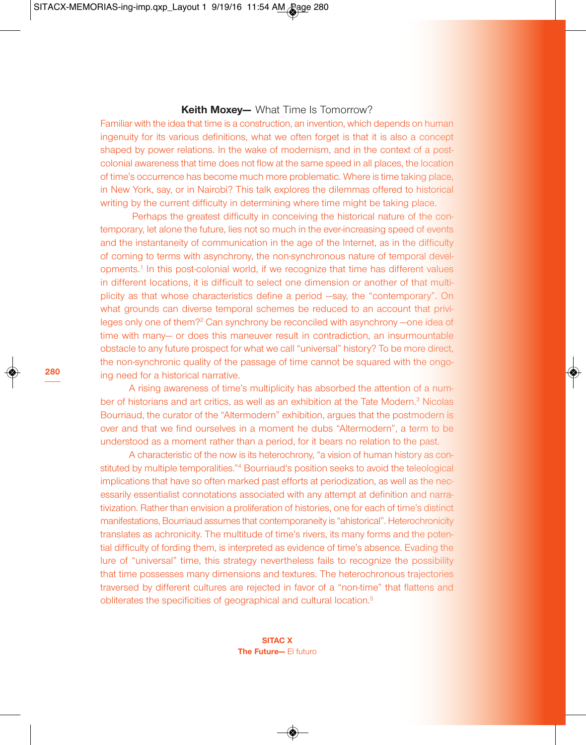## **Keith Moxey—** What Time Is Tomorrow?

Familiar with the idea that time is a construction, an invention, which depends on human ingenuity for its various definitions, what we often forget is that it is also a concept shaped by power relations. In the wake of modernism, and in the context of a postcolonial awareness that time does not flow at the same speed in all places, the location of time's occurrence has become much more problematic. Where is time taking place, in New York, say, or in Nairobi? This talk explores the dilemmas offered to historical writing by the current difficulty in determining where time might be taking place.

Perhaps the greatest difficulty in conceiving the historical nature of the contemporary, let alone the future, lies not so much in the ever-increasing speed of events and the instantaneity of communication in the age of the Internet, as in the difficulty of coming to terms with asynchrony, the non-synchronous nature of temporal developments. <sup>1</sup> In this post-colonial world, if we recognize that time has different values in different locations, it is difficult to select one dimension or another of that multiplicity as that whose characteristics define a period —say, the "contemporary". On what grounds can diverse temporal schemes be reduced to an account that privileges only one of them?2 Can synchrony be reconciled with asynchrony —one idea of time with many— or does this maneuver result in contradiction, an insurmountable obstacle to any future prospect for what we call "universal" history? To be more direct, the non-synchronic quality of the passage of time cannot be squared with the ongoing need for a historical narrative.

A rising awareness of time's multiplicity has absorbed the attention of a number of historians and art critics, as well as an exhibition at the Tate Modern.<sup>3</sup> Nicolas Bourriaud, the curator of the "Altermodern" exhibition, argues that the postmodern is over and that we find ourselves in a moment he dubs "Altermodern", a term to be understood as a moment rather than a period, for it bears no relation to the past.

A characteristic of the now is its heterochrony, "a vision of human history as constituted by multiple temporalities."<sup>4</sup> Bourriaud's position seeks to avoid the teleological implications that have so often marked past efforts at periodization, as well as the necessarily essentialist connotations associated with any attempt at definition and narrativization. Rather than envision a proliferation of histories, one for each of time's distinct manifestations, Bourriaud assumes that contemporaneity is "ahistorical". Heterochronicity translates as achronicity. The multitude of time's rivers, its many forms and the potential difficulty of fording them, is interpreted as evidence of time's absence. Evading the lure of "universal" time, this strategy nevertheless fails to recognize the possibility that time possesses many dimensions and textures. The heterochronous trajectories traversed by different cultures are rejected in favor of a "non-time" that flattens and obliterates the specificities of geographical and cultural location.<sup>5</sup>

> **SITAC X The Future—** El futuro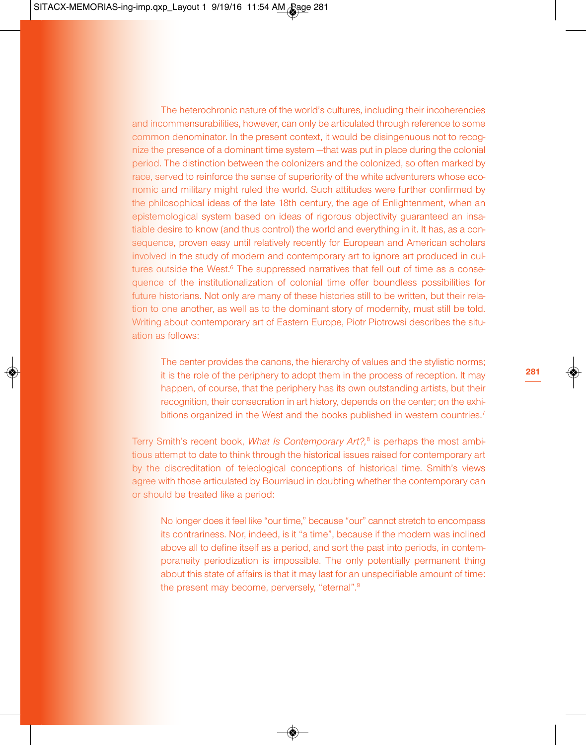The heterochronic nature of the world's cultures, including their incoherencies and incommensurabilities, however, can only be articulated through reference to some common denominator. In the present context, it would be disingenuous not to recognize the presence of a dominant time system —that was put in place during the colonial period. The distinction between the colonizers and the colonized, so often marked by race, served to reinforce the sense of superiority of the white adventurers whose economic and military might ruled the world. Such attitudes were further confirmed by the philosophical ideas of the late 18th century, the age of Enlightenment, when an epistemological system based on ideas of rigorous objectivity guaranteed an insatiable desire to know (and thus control) the world and everything in it. It has, as a consequence, proven easy until relatively recently for European and American scholars involved in the study of modern and contemporary art to ignore art produced in cultures outside the West.<sup>6</sup> The suppressed narratives that fell out of time as a consequence of the institutionalization of colonial time offer boundless possibilities for future historians. Not only are many of these histories still to be written, but their relation to one another, as well as to the dominant story of modernity, must still be told. Writing about contemporary art of Eastern Europe, Piotr Piotrowsi describes the situation as follows:

The center provides the canons, the hierarchy of values and the stylistic norms; it is the role of the periphery to adopt them in the process of reception. It may happen, of course, that the periphery has its own outstanding artists, but their recognition, their consecration in art history, depends on the center; on the exhibitions organized in the West and the books published in western countries.<sup>7</sup>

Terry Smith's recent book, *What Is Contemporary Art?,* <sup>8</sup> is perhaps the most ambitious attempt to date to think through the historical issues raised for contemporary art by the discreditation of teleological conceptions of historical time. Smith's views agree with those articulated by Bourriaud in doubting whether the contemporary can or should be treated like a period:

No longer does it feel like "our time," because "our" cannot stretch to encompass its contrariness. Nor, indeed, is it "a time", because if the modern was inclined above all to define itself as a period, and sort the past into periods, in contemporaneity periodization is impossible. The only potentially permanent thing about this state of affairs is that it may last for an unspecifiable amount of time: the present may become, perversely, "eternal".<sup>9</sup>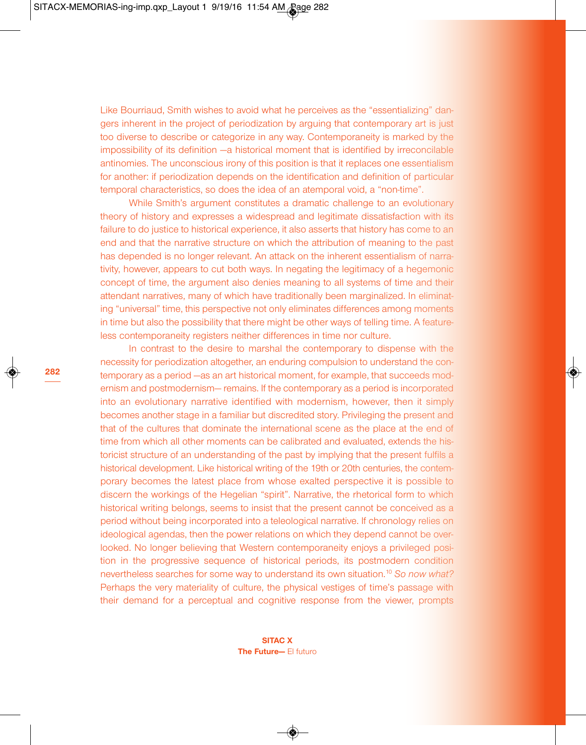**282**

Like Bourriaud, Smith wishes to avoid what he perceives as the "essentializing" dangers inherent in the project of periodization by arguing that contemporary art is just too diverse to describe or categorize in any way. Contemporaneity is marked by the impossibility of its definition —a historical moment that is identified by irreconcilable antinomies. The unconscious irony of this position is that it replaces one essentialism for another: if periodization depends on the identification and definition of particular temporal characteristics, so does the idea of an atemporal void, a "non-time".

While Smith's argument constitutes a dramatic challenge to an evolutionary theory of history and expresses a widespread and legitimate dissatisfaction with its failure to do justice to historical experience, it also asserts that history has come to an end and that the narrative structure on which the attribution of meaning to the past has depended is no longer relevant. An attack on the inherent essentialism of narrativity, however, appears to cut both ways. In negating the legitimacy of a hegemonic concept of time, the argument also denies meaning to all systems of time and their attendant narratives, many of which have traditionally been marginalized. In eliminating "universal" time, this perspective not only eliminates differences among moments in time but also the possibility that there might be other ways of telling time. A featureless contemporaneity registers neither differences in time nor culture.

In contrast to the desire to marshal the contemporary to dispense with the necessity for periodization altogether, an enduring compulsion to understand the contemporary as a period —as an art historical moment, for example, that succeeds modernism and postmodernism— remains. If the contemporary as a period is incorporated into an evolutionary narrative identified with modernism, however, then it simply becomes another stage in a familiar but discredited story. Privileging the present and that of the cultures that dominate the international scene as the place at the end of time from which all other moments can be calibrated and evaluated, extends the historicist structure of an understanding of the past by implying that the present fulfils a historical development. Like historical writing of the 19th or 20th centuries, the contemporary becomes the latest place from whose exalted perspective it is possible to discern the workings of the Hegelian "spirit". Narrative, the rhetorical form to which historical writing belongs, seems to insist that the present cannot be conceived as a period without being incorporated into a teleological narrative. If chronology relies on ideological agendas, then the power relations on which they depend cannot be overlooked. No longer believing that Western contemporaneity enjoys a privileged position in the progressive sequence of historical periods, its postmodern condition nevertheless searches for some way to understand its own situation. <sup>10</sup> *So now what?* Perhaps the very materiality of culture, the physical vestiges of time's passage with their demand for a perceptual and cognitive response from the viewer, prompts

> **SITAC X The Future—** El futuro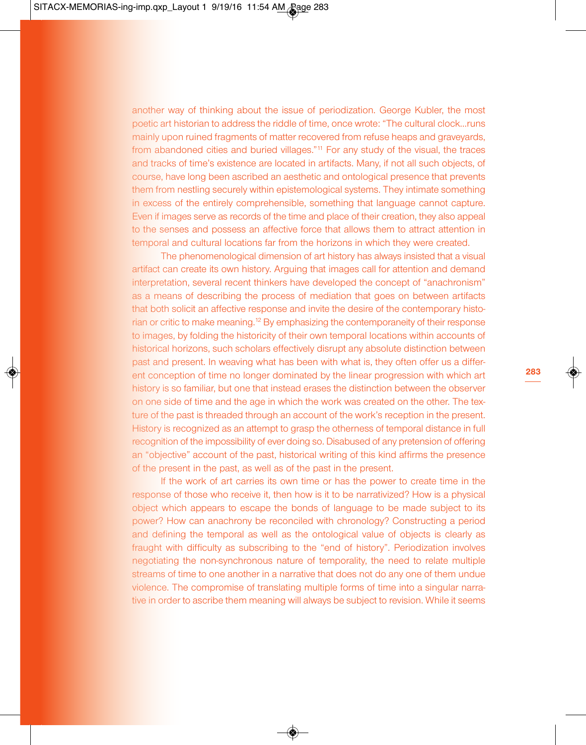another way of thinking about the issue of periodization. George Kubler, the most poetic art historian to address the riddle of time, once wrote: "The cultural clock…runs mainly upon ruined fragments of matter recovered from refuse heaps and graveyards, from abandoned cities and buried villages."11 For any study of the visual, the traces and tracks of time's existence are located in artifacts. Many, if not all such objects, of course, have long been ascribed an aesthetic and ontological presence that prevents them from nestling securely within epistemological systems. They intimate something in excess of the entirely comprehensible, something that language cannot capture. Even if images serve as records of the time and place of their creation, they also appeal to the senses and possess an affective force that allows them to attract attention in temporal and cultural locations far from the horizons in which they were created.

The phenomenological dimension of art history has always insisted that a visual artifact can create its own history. Arguing that images call for attention and demand interpretation, several recent thinkers have developed the concept of "anachronism" as a means of describing the process of mediation that goes on between artifacts that both solicit an affective response and invite the desire of the contemporary historian or critic to make meaning.<sup>12</sup> By emphasizing the contemporaneity of their response to images, by folding the historicity of their own temporal locations within accounts of historical horizons, such scholars effectively disrupt any absolute distinction between past and present. In weaving what has been with what is, they often offer us a different conception of time no longer dominated by the linear progression with which art history is so familiar, but one that instead erases the distinction between the observer on one side of time and the age in which the work was created on the other. The texture of the past is threaded through an account of the work's reception in the present. History is recognized as an attempt to grasp the otherness of temporal distance in full recognition of the impossibility of ever doing so. Disabused of any pretension of offering an "objective" account of the past, historical writing of this kind affirms the presence of the present in the past, as well as of the past in the present.

If the work of art carries its own time or has the power to create time in the response of those who receive it, then how is it to be narrativized? How is a physical object which appears to escape the bonds of language to be made subject to its power? How can anachrony be reconciled with chronology? Constructing a period and defining the temporal as well as the ontological value of objects is clearly as fraught with difficulty as subscribing to the "end of history". Periodization involves negotiating the non-synchronous nature of temporality, the need to relate multiple streams of time to one another in a narrative that does not do any one of them undue violence. The compromise of translating multiple forms of time into a singular narrative in order to ascribe them meaning will always be subject to revision. While it seems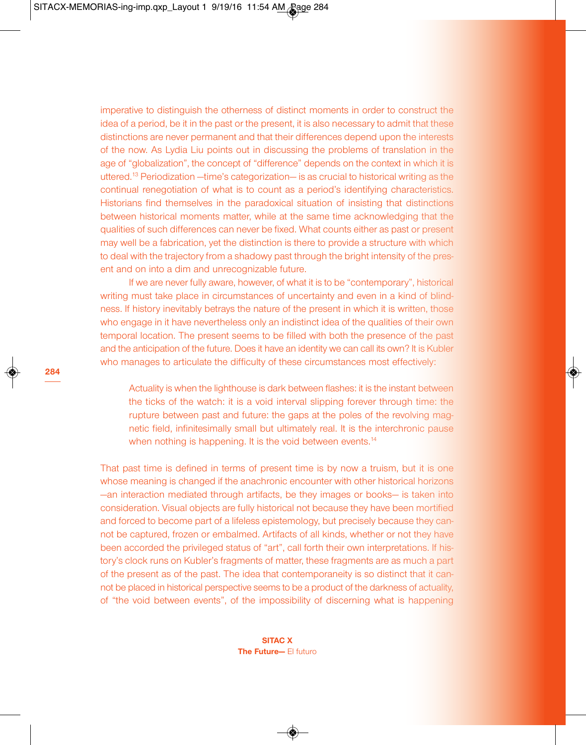**284**

imperative to distinguish the otherness of distinct moments in order to construct the idea of a period, be it in the past or the present, it is also necessary to admit that these distinctions are never permanent and that their differences depend upon the interests of the now. As Lydia Liu points out in discussing the problems of translation in the age of "globalization", the concept of "difference" depends on the context in which it is uttered. <sup>13</sup> Periodization —time's categorization— is as crucial to historical writing as the continual renegotiation of what is to count as a period's identifying characteristics. Historians find themselves in the paradoxical situation of insisting that distinctions between historical moments matter, while at the same time acknowledging that the qualities of such differences can never be fixed. What counts either as past or present may well be a fabrication, yet the distinction is there to provide a structure with which to deal with the trajectory from a shadowy past through the bright intensity of the present and on into a dim and unrecognizable future.

If we are never fully aware, however, of what it is to be "contemporary", historical writing must take place in circumstances of uncertainty and even in a kind of blindness. If history inevitably betrays the nature of the present in which it is written, those who engage in it have nevertheless only an indistinct idea of the qualities of their own temporal location. The present seems to be filled with both the presence of the past and the anticipation of the future. Does it have an identity we can call its own? It is Kubler who manages to articulate the difficulty of these circumstances most effectively:

Actuality is when the lighthouse is dark between flashes: it is the instant between the ticks of the watch: it is a void interval slipping forever through time: the rupture between past and future: the gaps at the poles of the revolving magnetic field, infinitesimally small but ultimately real. It is the interchronic pause when nothing is happening. It is the void between events.<sup>14</sup>

That past time is defined in terms of present time is by now a truism, but it is one whose meaning is changed if the anachronic encounter with other historical horizons —an interaction mediated through artifacts, be they images or books— is taken into consideration. Visual objects are fully historical not because they have been mortified and forced to become part of a lifeless epistemology, but precisely because they cannot be captured, frozen or embalmed. Artifacts of all kinds, whether or not they have been accorded the privileged status of "art", call forth their own interpretations. If history's clock runs on Kubler's fragments of matter, these fragments are as much a part of the present as of the past. The idea that contemporaneity is so distinct that it cannot be placed in historical perspective seems to be a product of the darkness of actuality, of "the void between events", of the impossibility of discerning what is happening

> **SITAC X The Future—** El futuro